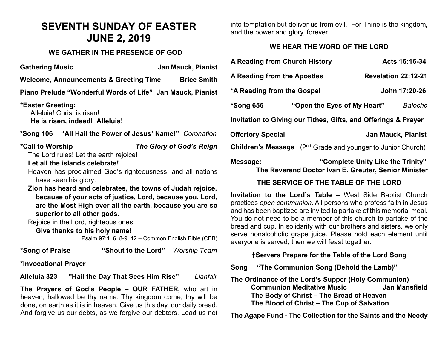# **SEVENTH SUNDAY OF EASTER JUNE 2, 2019**

#### **WE GATHER IN THE PRESENCE OF GOD**

**Gathering Music Jan Mauck, Pianist**

**Welcome, Announcements & Greeting Time Brice Smith** 

**Piano Prelude "Wonderful Words of Life" Jan Mauck, Pianist**

**\*Easter Greeting:**  Alleluia! Christ is risen! **He is risen, indeed! Alleluia!**

**\*Song 106 "All Hail the Power of Jesus' Name!"** *Coronation*

**\*Call to Worship** *The Glory of God's Reign*

The Lord rules! Let the earth rejoice!

#### **Let all the islands celebrate!**

Heaven has proclaimed God's righteousness, and all nations have seen his glory.

**Zion has heard and celebrates, the towns of Judah rejoice, because of your acts of justice, Lord, because you, Lord, are the Most High over all the earth, because you are so superior to all other gods.**

Rejoice in the Lord, righteous ones!

#### **Give thanks to his holy name!**

Psalm 97:1, 6, 8-9, 12 – Common English Bible (CEB)

| *Song of Praise | "Shout to the Lord" | Worship Team |
|-----------------|---------------------|--------------|
|-----------------|---------------------|--------------|

### **\*Invocational Prayer**

**Alleluia 323 "Hail the Day That Sees Him Rise"** *Llanfair*

**The Prayers of God's People – OUR FATHER,** who art in heaven, hallowed be thy name. Thy kingdom come, thy will be done, on earth as it is in heaven. Give us this day, our daily bread. And forgive us our debts, as we forgive our debtors. Lead us not into temptation but deliver us from evil. For Thine is the kingdom, and the power and glory, forever.

# **WE HEAR THE WORD OF THE LORD**

| A Reading from Church History                                                  |                                                                                           |                           | Acts 16:16-34  |
|--------------------------------------------------------------------------------|-------------------------------------------------------------------------------------------|---------------------------|----------------|
| A Reading from the Apostles                                                    |                                                                                           | Revelation 22:12-21       |                |
| *A Reading from the Gospel                                                     |                                                                                           |                           | John 17:20-26  |
| *Song 656                                                                      | "Open the Eyes of My Heart"                                                               |                           | <b>Baloche</b> |
| Invitation to Giving our Tithes, Gifts, and Offerings & Prayer                 |                                                                                           |                           |                |
| <b>Offertory Special</b>                                                       |                                                                                           | <b>Jan Mauck, Pianist</b> |                |
| <b>Children's Message</b> (2 <sup>nd</sup> Grade and younger to Junior Church) |                                                                                           |                           |                |
| Message:                                                                       | "Complete Unity Like the Trinity"<br>The Reverend Doctor Ivan E. Greuter, Senior Minister |                           |                |

# **THE SERVICE OF THE TABLE OF THE LORD**

**Invitation to the Lord's Table –** West Side Baptist Church practices *open communion*. All persons who profess faith in Jesus and has been baptized are invited to partake of this memorial meal. You do not need to be a member of this church to partake of the bread and cup. In solidarity with our brothers and sisters, we only serve nonalcoholic grape juice. Please hold each element until everyone is served, then we will feast together.

# **†Servers Prepare for the Table of the Lord Song**

**Song "The Communion Song (Behold the Lamb)"**

**The Ordinance of the Lord's Supper (Holy Communion) Communion Meditative Music The Body of Christ – The Bread of Heaven The Blood of Christ – The Cup of Salvation**

**The Agape Fund - The Collection for the Saints and the Needy**